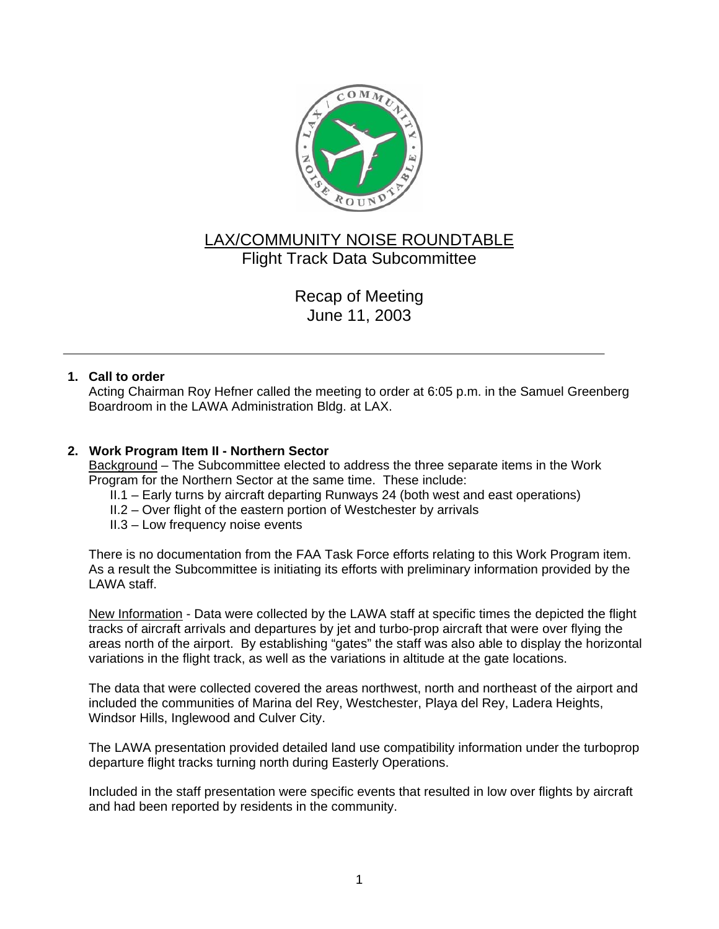

# LAX/COMMUNITY NOISE ROUNDTABLE Flight Track Data Subcommittee

Recap of Meeting June 11, 2003

## **1. Call to order**

Acting Chairman Roy Hefner called the meeting to order at 6:05 p.m. in the Samuel Greenberg Boardroom in the LAWA Administration Bldg. at LAX.

## **2. Work Program Item II - Northern Sector**

Background – The Subcommittee elected to address the three separate items in the Work Program for the Northern Sector at the same time. These include:

- II.1 Early turns by aircraft departing Runways 24 (both west and east operations)
- II.2 Over flight of the eastern portion of Westchester by arrivals
- II.3 Low frequency noise events

There is no documentation from the FAA Task Force efforts relating to this Work Program item. As a result the Subcommittee is initiating its efforts with preliminary information provided by the LAWA staff.

New Information - Data were collected by the LAWA staff at specific times the depicted the flight tracks of aircraft arrivals and departures by jet and turbo-prop aircraft that were over flying the areas north of the airport. By establishing "gates" the staff was also able to display the horizontal variations in the flight track, as well as the variations in altitude at the gate locations.

The data that were collected covered the areas northwest, north and northeast of the airport and included the communities of Marina del Rey, Westchester, Playa del Rey, Ladera Heights, Windsor Hills, Inglewood and Culver City.

The LAWA presentation provided detailed land use compatibility information under the turboprop departure flight tracks turning north during Easterly Operations.

Included in the staff presentation were specific events that resulted in low over flights by aircraft and had been reported by residents in the community.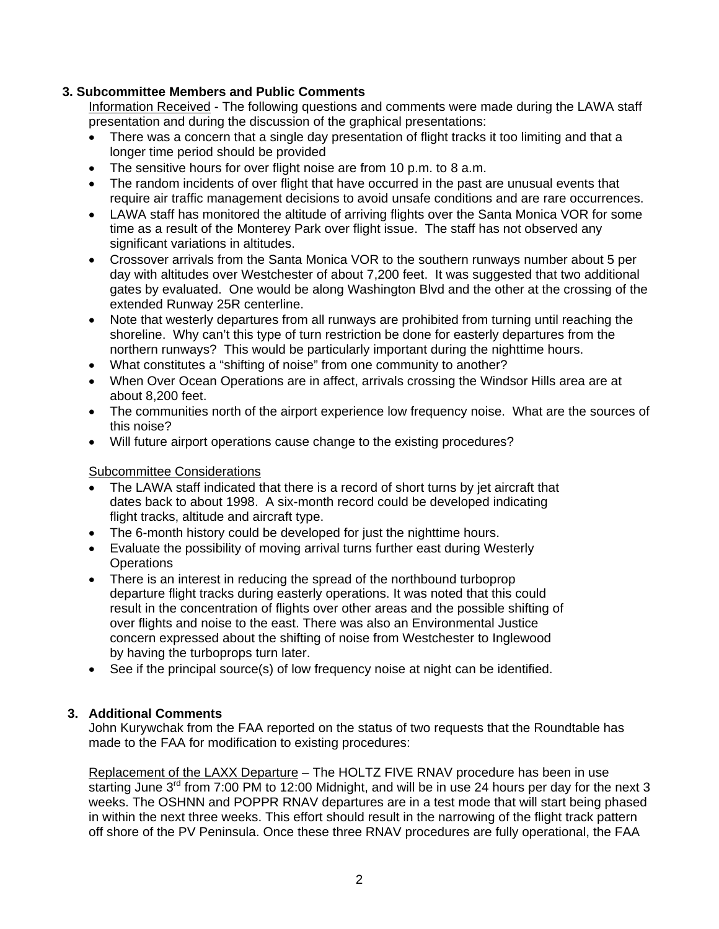# **3. Subcommittee Members and Public Comments**

Information Received - The following questions and comments were made during the LAWA staff presentation and during the discussion of the graphical presentations:

- There was a concern that a single day presentation of flight tracks it too limiting and that a longer time period should be provided
- The sensitive hours for over flight noise are from 10 p.m. to 8 a.m.
- The random incidents of over flight that have occurred in the past are unusual events that require air traffic management decisions to avoid unsafe conditions and are rare occurrences.
- LAWA staff has monitored the altitude of arriving flights over the Santa Monica VOR for some time as a result of the Monterey Park over flight issue. The staff has not observed any significant variations in altitudes.
- Crossover arrivals from the Santa Monica VOR to the southern runways number about 5 per day with altitudes over Westchester of about 7,200 feet. It was suggested that two additional gates by evaluated. One would be along Washington Blvd and the other at the crossing of the extended Runway 25R centerline.
- Note that westerly departures from all runways are prohibited from turning until reaching the shoreline. Why can't this type of turn restriction be done for easterly departures from the northern runways? This would be particularly important during the nighttime hours.
- What constitutes a "shifting of noise" from one community to another?
- When Over Ocean Operations are in affect, arrivals crossing the Windsor Hills area are at about 8,200 feet.
- The communities north of the airport experience low frequency noise. What are the sources of this noise?
- Will future airport operations cause change to the existing procedures?

#### Subcommittee Considerations

- The LAWA staff indicated that there is a record of short turns by jet aircraft that dates back to about 1998. A six-month record could be developed indicating flight tracks, altitude and aircraft type.
- The 6-month history could be developed for just the nighttime hours.
- Evaluate the possibility of moving arrival turns further east during Westerly **Operations**
- There is an interest in reducing the spread of the northbound turboprop departure flight tracks during easterly operations. It was noted that this could result in the concentration of flights over other areas and the possible shifting of over flights and noise to the east. There was also an Environmental Justice concern expressed about the shifting of noise from Westchester to Inglewood by having the turboprops turn later.
- See if the principal source(s) of low frequency noise at night can be identified.

#### **3. Additional Comments**

John Kurywchak from the FAA reported on the status of two requests that the Roundtable has made to the FAA for modification to existing procedures:

Replacement of the LAXX Departure – The HOLTZ FIVE RNAV procedure has been in use starting June 3<sup>rd</sup> from 7:00 PM to 12:00 Midnight, and will be in use 24 hours per day for the next 3 weeks. The OSHNN and POPPR RNAV departures are in a test mode that will start being phased in within the next three weeks. This effort should result in the narrowing of the flight track pattern off shore of the PV Peninsula. Once these three RNAV procedures are fully operational, the FAA